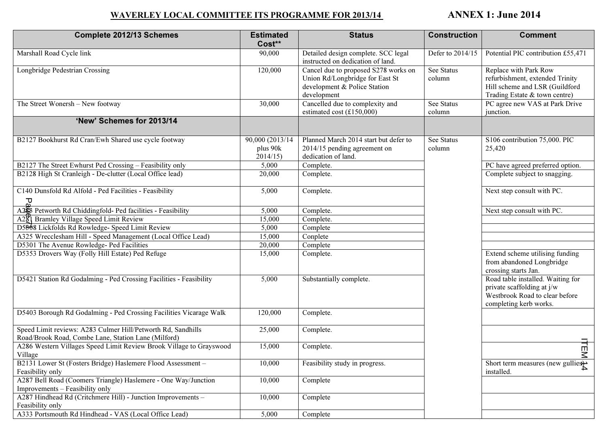## WAVERLEY LOCAL COMMITTEE ITS PROGRAMME FOR 2013/14 ANNEX 1: June 2014

| <b>Complete 2012/13 Schemes</b>                                                                                     | <b>Estimated</b><br>Cost**             | <b>Status</b>                                                                                                          | <b>Construction</b>         | <b>Comment</b>                                                                                                              |
|---------------------------------------------------------------------------------------------------------------------|----------------------------------------|------------------------------------------------------------------------------------------------------------------------|-----------------------------|-----------------------------------------------------------------------------------------------------------------------------|
| Marshall Road Cycle link                                                                                            | 90,000                                 | Detailed design complete. SCC legal<br>instructed on dedication of land.                                               | Defer to 2014/15            | Potential PIC contribution £55,471                                                                                          |
| Longbridge Pedestrian Crossing                                                                                      | 120,000                                | Cancel due to proposed S278 works on<br>Union Rd/Longbridge for East St<br>development & Police Station<br>development | <b>See Status</b><br>column | Replace with Park Row<br>refurbishment, extended Trinity<br>Hill scheme and LSR (Guildford<br>Trading Estate & town centre) |
| The Street Wonersh - New footway                                                                                    | 30,000                                 | Cancelled due to complexity and<br>estimated cost $(\text{\textsterling}150,000)$                                      | <b>See Status</b><br>column | PC agree new VAS at Park Drive<br>junction.                                                                                 |
| 'New' Schemes for 2013/14                                                                                           |                                        |                                                                                                                        |                             |                                                                                                                             |
| B2127 Bookhurst Rd Cran/Ewh Shared use cycle footway                                                                | 90,000 (2013/14<br>plus 90k<br>2014/15 | Planned March 2014 start but defer to<br>2014/15 pending agreement on<br>dedication of land.                           | See Status<br>column        | S106 contribution 75,000. PIC<br>25,420                                                                                     |
| B2127 The Street Ewhurst Ped Crossing - Feasibility only                                                            | 5,000                                  | Complete.                                                                                                              |                             | PC have agreed preferred option.                                                                                            |
| B2128 High St Cranleigh - De-clutter (Local Office lead)                                                            | 20,000                                 | Complete.                                                                                                              |                             | Complete subject to snagging.                                                                                               |
| C140 Dunsfold Rd Alfold - Ped Facilities - Feasibility<br>묘                                                         | 5,000                                  | Complete.                                                                                                              |                             | Next step consult with PC.                                                                                                  |
| A258 Petworth Rd Chiddingfold- Ped facilities - Feasibility                                                         | 5,000                                  | Complete.                                                                                                              |                             | Next step consult with PC.                                                                                                  |
| A221 Bramley Village Speed Limit Review                                                                             | 15,000                                 | Complete.                                                                                                              |                             |                                                                                                                             |
| D5308 Lickfolds Rd Rowledge- Speed Limit Review                                                                     | 5,000                                  | Complete                                                                                                               |                             |                                                                                                                             |
| A325 Wrecclesham Hill - Speed Management (Local Office Lead)                                                        | 15,000                                 | Conplete                                                                                                               |                             |                                                                                                                             |
| D5301 The Avenue Rowledge- Ped Facilities                                                                           | 20,000                                 | Complete                                                                                                               |                             |                                                                                                                             |
| D5353 Drovers Way (Folly Hill Estate) Ped Refuge                                                                    | 15,000                                 | Complete.                                                                                                              |                             | Extend scheme utilising funding<br>from abandoned Longbridge<br>crossing starts Jan.                                        |
| D5421 Station Rd Godalming - Ped Crossing Facilities - Feasibility                                                  | 5,000                                  | Substantially complete.                                                                                                |                             | Road table installed. Waiting for<br>private scaffolding at j/w<br>Westbrook Road to clear before<br>completing kerb works. |
| D5403 Borough Rd Godalming - Ped Crossing Facilities Vicarage Walk                                                  | 120,000                                | Complete.                                                                                                              |                             |                                                                                                                             |
| Speed Limit reviews: A283 Culmer Hill/Petworth Rd, Sandhills<br>Road/Brook Road, Combe Lane, Station Lane (Milford) | 25,000                                 | Complete.                                                                                                              |                             |                                                                                                                             |
| A286 Western Villages Speed Limit Review Brook Village to Grayswood<br>Village                                      | 15,000                                 | Complete.                                                                                                              |                             | ਜ਼<br>$\leq$                                                                                                                |
| B2131 Lower St (Fosters Bridge) Haslemere Flood Assessment -<br>Feasibility only                                    | 10,000                                 | Feasibility study in progress.                                                                                         |                             | Short term measures (new gullies $\rightarrow$<br>installed.                                                                |
| A287 Bell Road (Coomers Triangle) Haslemere - One Way/Junction<br>Improvements – Feasibility only                   | 10,000                                 | Complete                                                                                                               |                             |                                                                                                                             |
| A287 Hindhead Rd (Critchmere Hill) - Junction Improvements -<br>Feasibility only                                    | 10,000                                 | Complete                                                                                                               |                             |                                                                                                                             |
| A333 Portsmouth Rd Hindhead - VAS (Local Office Lead)                                                               | 5,000                                  | Complete                                                                                                               |                             |                                                                                                                             |